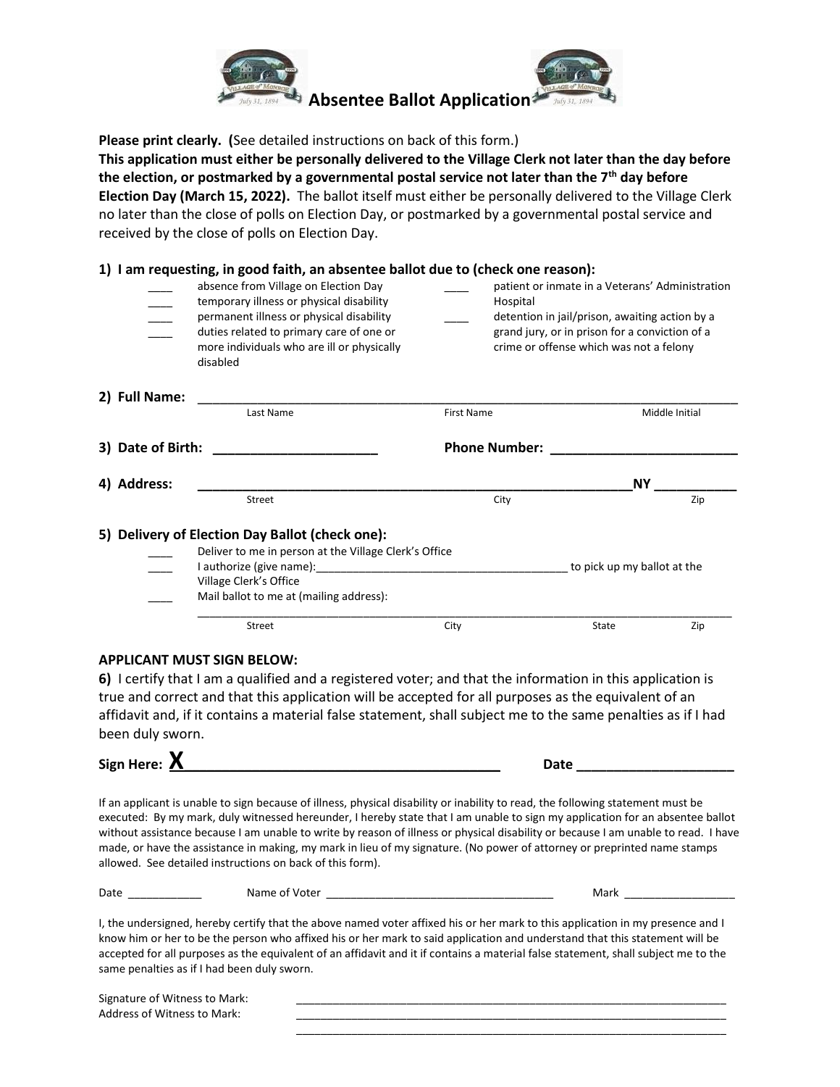

**Please print clearly. (**See detailed instructions on back of this form.)

**This application must either be personally delivered to the Village Clerk not later than the day before the election, or postmarked by a governmental postal service not later than the 7th day before Election Day (March 15, 2022).** The ballot itself must either be personally delivered to the Village Clerk no later than the close of polls on Election Day, or postmarked by a governmental postal service and received by the close of polls on Election Day.

|                   | 1) I am requesting, in good faith, an absentee ballot due to (check one reason):                                                                                                                                                   |                      |                                                                                                                                                                                                |  |  |
|-------------------|------------------------------------------------------------------------------------------------------------------------------------------------------------------------------------------------------------------------------------|----------------------|------------------------------------------------------------------------------------------------------------------------------------------------------------------------------------------------|--|--|
|                   | absence from Village on Election Day<br>temporary illness or physical disability<br>permanent illness or physical disability<br>duties related to primary care of one or<br>more individuals who are ill or physically<br>disabled | Hospital             | patient or inmate in a Veterans' Administration<br>detention in jail/prison, awaiting action by a<br>grand jury, or in prison for a conviction of a<br>crime or offense which was not a felony |  |  |
| 2) Full Name:     | Last Name                                                                                                                                                                                                                          | <b>First Name</b>    | Middle Initial                                                                                                                                                                                 |  |  |
|                   |                                                                                                                                                                                                                                    |                      |                                                                                                                                                                                                |  |  |
| 3) Date of Birth: | <u> 1980 - Jan Barnett, fransk politik (d. 19</u>                                                                                                                                                                                  | <b>Phone Number:</b> |                                                                                                                                                                                                |  |  |
| 4) Address:       |                                                                                                                                                                                                                                    | <b>NY</b>            |                                                                                                                                                                                                |  |  |
|                   | Street                                                                                                                                                                                                                             | City                 | Zip                                                                                                                                                                                            |  |  |
|                   | 5) Delivery of Election Day Ballot (check one):<br>Deliver to me in person at the Village Clerk's Office<br>Village Clerk's Office<br>Mail ballot to me at (mailing address):                                                      |                      | to pick up my ballot at the                                                                                                                                                                    |  |  |
|                   | Street                                                                                                                                                                                                                             | City                 | State<br>Zip                                                                                                                                                                                   |  |  |

#### **APPLICANT MUST SIGN BELOW:**

**6)** I certify that I am a qualified and a registered voter; and that the information in this application is true and correct and that this application will be accepted for all purposes as the equivalent of an affidavit and, if it contains a material false statement, shall subject me to the same penalties as if I had been duly sworn.

**Sign Here: X\_\_\_\_\_\_\_\_\_\_\_\_\_\_\_\_\_\_\_\_\_\_\_\_\_\_\_\_\_\_\_\_\_\_\_\_\_\_\_\_\_\_ Date \_\_\_\_\_\_\_\_\_\_\_\_\_\_\_\_\_\_\_\_\_**

If an applicant is unable to sign because of illness, physical disability or inability to read, the following statement must be executed: By my mark, duly witnessed hereunder, I hereby state that I am unable to sign my application for an absentee ballot without assistance because I am unable to write by reason of illness or physical disability or because I am unable to read. I have made, or have the assistance in making, my mark in lieu of my signature. (No power of attorney or preprinted name stamps allowed. See detailed instructions on back of this form).

| - |  |  |
|---|--|--|
|   |  |  |

I, the undersigned, hereby certify that the above named voter affixed his or her mark to this application in my presence and I know him or her to be the person who affixed his or her mark to said application and understand that this statement will be accepted for all purposes as the equivalent of an affidavit and it if contains a material false statement, shall subject me to the same penalties as if I had been duly sworn.

| Signature of Witness to Mark: |  |
|-------------------------------|--|
| Address of Witness to Mark:   |  |
|                               |  |